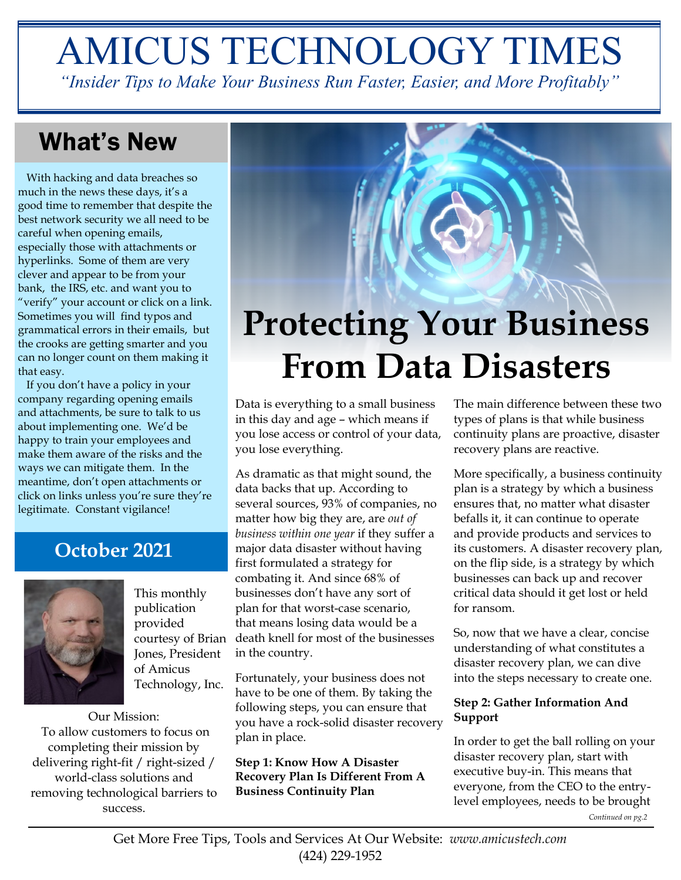# AMICUS TECHNOLOGY TIMES

*"Insider Tips to Make Your Business Run Faster, Easier, and More Profitably"*

## What's New

 With hacking and data breaches so much in the news these days, it's a good time to remember that despite the best network security we all need to be careful when opening emails, especially those with attachments or hyperlinks. Some of them are very clever and appear to be from your bank, the IRS, etc. and want you to "verify" your account or click on a link. Sometimes you will find typos and grammatical errors in their emails, but the crooks are getting smarter and you can no longer count on them making it that easy.

 If you don't have a policy in your company regarding opening emails and attachments, be sure to talk to us about implementing one. We'd be happy to train your employees and make them aware of the risks and the ways we can mitigate them. In the meantime, don't open attachments or click on links unless you're sure they're legitimate. Constant vigilance!

## **October 2021**



This monthly publication provided courtesy of Brian Jones, President of Amicus Technology, Inc.

Our Mission: To allow customers to focus on completing their mission by delivering right-fit / right-sized / world-class solutions and removing technological barriers to success.



Data is everything to a small business in this day and age – which means if you lose access or control of your data, you lose everything.

As dramatic as that might sound, the data backs that up. According to several sources, 93% of companies, no matter how big they are, are *out of business within one year* if they suffer a major data disaster without having first formulated a strategy for combating it. And since 68% of businesses don't have any sort of plan for that worst-case scenario, that means losing data would be a death knell for most of the businesses in the country.

Fortunately, your business does not have to be one of them. By taking the following steps, you can ensure that you have a rock-solid disaster recovery plan in place.

**Step 1: Know How A Disaster Recovery Plan Is Different From A Business Continuity Plan**

The main difference between these two types of plans is that while business continuity plans are proactive, disaster recovery plans are reactive.

More specifically, a business continuity plan is a strategy by which a business ensures that, no matter what disaster befalls it, it can continue to operate and provide products and services to its customers. A disaster recovery plan, on the flip side, is a strategy by which businesses can back up and recover critical data should it get lost or held for ransom.

So, now that we have a clear, concise understanding of what constitutes a disaster recovery plan, we can dive into the steps necessary to create one.

### **Step 2: Gather Information And Support**

In order to get the ball rolling on your disaster recovery plan, start with executive buy-in. This means that everyone, from the CEO to the entrylevel employees, needs to be brought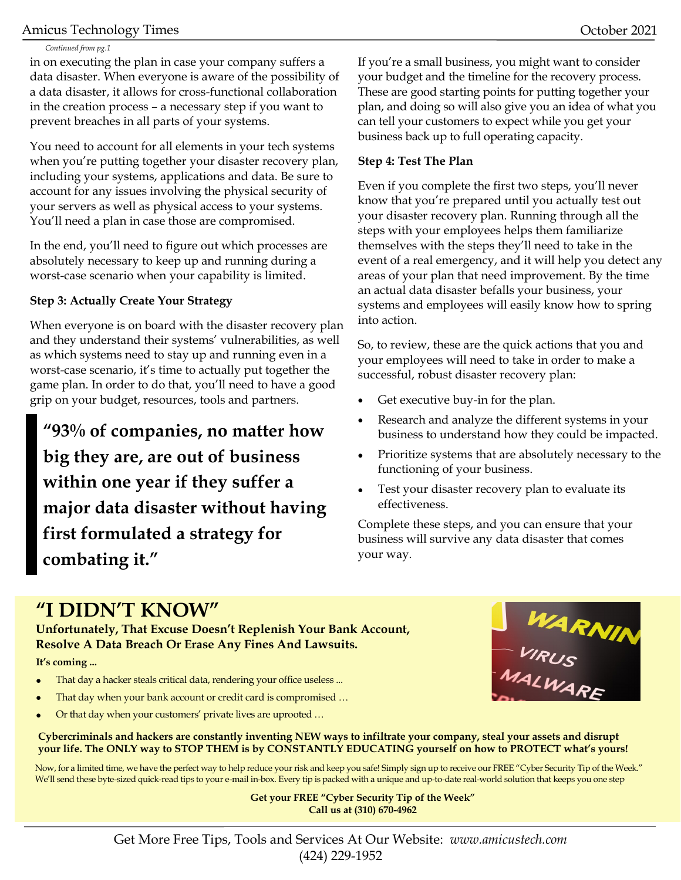### Amicus Technology Times **October 2021**

#### *Continued from pg.1*

in on executing the plan in case your company suffers a data disaster. When everyone is aware of the possibility of a data disaster, it allows for cross-functional collaboration in the creation process – a necessary step if you want to prevent breaches in all parts of your systems.

You need to account for all elements in your tech systems when you're putting together your disaster recovery plan, including your systems, applications and data. Be sure to account for any issues involving the physical security of your servers as well as physical access to your systems. You'll need a plan in case those are compromised.

In the end, you'll need to figure out which processes are absolutely necessary to keep up and running during a worst-case scenario when your capability is limited.

#### **Step 3: Actually Create Your Strategy**

When everyone is on board with the disaster recovery plan and they understand their systems' vulnerabilities, as well as which systems need to stay up and running even in a worst-case scenario, it's time to actually put together the game plan. In order to do that, you'll need to have a good grip on your budget, resources, tools and partners.

**"93% of companies, no matter how big they are, are out of business within one year if they suffer a major data disaster without having first formulated a strategy for combating it."**

If you're a small business, you might want to consider your budget and the timeline for the recovery process. These are good starting points for putting together your plan, and doing so will also give you an idea of what you can tell your customers to expect while you get your business back up to full operating capacity.

### **Step 4: Test The Plan**

Even if you complete the first two steps, you'll never know that you're prepared until you actually test out your disaster recovery plan. Running through all the steps with your employees helps them familiarize themselves with the steps they'll need to take in the event of a real emergency, and it will help you detect any areas of your plan that need improvement. By the time an actual data disaster befalls your business, your systems and employees will easily know how to spring into action.

So, to review, these are the quick actions that you and your employees will need to take in order to make a successful, robust disaster recovery plan:

- Get executive buy-in for the plan.
- Research and analyze the different systems in your business to understand how they could be impacted.
- Prioritize systems that are absolutely necessary to the functioning of your business.
- Test your disaster recovery plan to evaluate its effectiveness.

Complete these steps, and you can ensure that your business will survive any data disaster that comes your way.

## **"I DIDN'T KNOW"**

**Unfortunately, That Excuse Doesn't Replenish Your Bank Account, Resolve A Data Breach Or Erase Any Fines And Lawsuits.**

#### **It's coming ...**

- That day a hacker steals critical data, rendering your office useless ...
- That day when your bank account or credit card is compromised ...
- Or that day when your customers' private lives are uprooted …



**Cybercriminals and hackers are constantly inventing NEW ways to infiltrate your company, steal your assets and disrupt your life. The ONLY way to STOP THEM is by CONSTANTLY EDUCATING yourself on how to PROTECT what's yours!**

Now, for a limited time, we have the perfect way to help reduce your risk and keep you safe! Simply sign up to receive our FREE "Cyber Security Tip of the Week." We'll send these byte-sized quick-read tips to your e-mail in-box. Every tip is packed with a unique and up-to-date real-world solution that keeps you one step

> **Get your FREE "Cyber Security Tip of the Week" Call us at (310) 670-4962**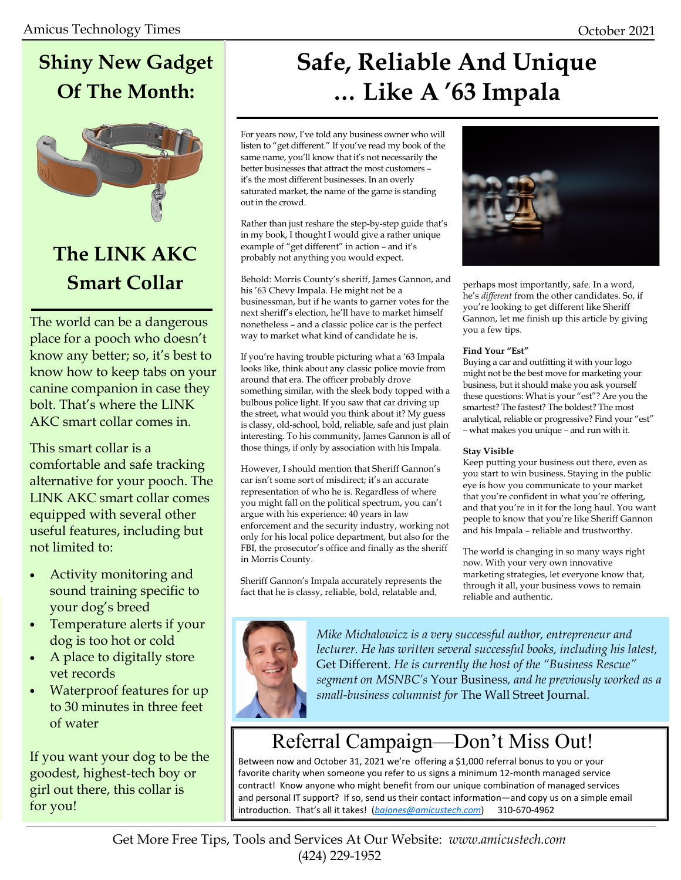## **Shiny New Gadget Of The Month:**



## **The LINK AKC Smart Collar**

The world can be a dangerous place for a pooch who doesn't know any better; so, it's best to know how to keep tabs on your canine companion in case they bolt. That's where the LINK AKC smart collar comes in.

This smart collar is a comfortable and safe tracking alternative for your pooch. The LINK AKC smart collar comes equipped with several other useful features, including but not limited to:

- Activity monitoring and sound training specific to your dog's breed
- Temperature alerts if your dog is too hot or cold
- A place to digitally store vet records
- Waterproof features for up to 30 minutes in three feet of water

If you want your dog to be the goodest, highest-tech boy or girl out there, this collar is for you!

## **Safe, Reliable And Unique … Like A '63 Impala**

For years now, I've told any business owner who will listen to "get different." If you've read my book of the same name, you'll know that it's not necessarily the better businesses that attract the most customers – it's the most different businesses. In an overly saturated market, the name of the game is standing out in the crowd.

Rather than just reshare the step-by-step guide that's in my book, I thought I would give a rather unique example of "get different" in action – and it's probably not anything you would expect.

Behold: Morris County's sheriff, James Gannon, and his '63 Chevy Impala. He might not be a businessman, but if he wants to garner votes for the next sheriff's election, he'll have to market himself nonetheless – and a classic police car is the perfect way to market what kind of candidate he is.

If you're having trouble picturing what a '63 Impala looks like, think about any classic police movie from around that era. The officer probably drove something similar, with the sleek body topped with a bulbous police light. If you saw that car driving up the street, what would you think about it? My guess is classy, old-school, bold, reliable, safe and just plain interesting. To his community, James Gannon is all of those things, if only by association with his Impala.

However, I should mention that Sheriff Gannon's car isn't some sort of misdirect; it's an accurate representation of who he is. Regardless of where you might fall on the political spectrum, you can't argue with his experience: 40 years in law enforcement and the security industry, working not only for his local police department, but also for the FBI, the prosecutor's office and finally as the sheriff in Morris County.

Sheriff Gannon's Impala accurately represents the fact that he is classy, reliable, bold, relatable and,



perhaps most importantly, safe. In a word, he's *different* from the other candidates. So, if you're looking to get different like Sheriff Gannon, let me finish up this article by giving you a few tips.

#### **Find Your "Est"**

Buying a car and outfitting it with your logo might not be the best move for marketing your business, but it should make you ask yourself these questions: What is your "est"? Are you the smartest? The fastest? The boldest? The most analytical, reliable or progressive? Find your "est" – what makes you unique – and run with it.

#### **Stay Visible**

Keep putting your business out there, even as you start to win business. Staying in the public eye is how you communicate to your market that you're confident in what you're offering, and that you're in it for the long haul. You want people to know that you're like Sheriff Gannon and his Impala – reliable and trustworthy.

The world is changing in so many ways right now. With your very own innovative marketing strategies, let everyone know that, through it all, your business vows to remain reliable and authentic.



*Mike Michalowicz is a very successful author, entrepreneur and lecturer. He has written several successful books, including his latest,*  Get Different*. He is currently the host of the "Business Rescue" segment on MSNBC's* Your Business*, and he previously worked as a small-business columnist for* The Wall Street Journal*.* 

## Referral Campaign—Don't Miss Out!

Between now and October 31, 2021 we're offering a \$1,000 referral bonus to you or your favorite charity when someone you refer to us signs a minimum 12-month managed service contract! Know anyone who might benefit from our unique combination of managed services and personal IT support? If so, send us their contact information—and copy us on a simple email introduction. That's all it takes! (*[bajones@amicustech.com](mailto:bajones@amicustech.com?subject=I%20hav%20a%20referral%20for%20you!)*) 310-670-4962